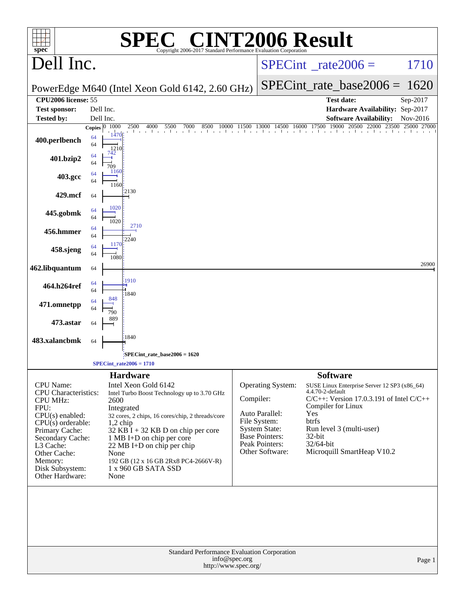| spec <sup>®</sup>                                                                                                                                                                                                                        |                                                     | <b>C® CINT2006 Result</b><br><b>SPE</b><br>Copyright 2006-2017 Standard Performance Evaluation Corporation                                                                                                                                                                                                                               |               |                                                                                                                                           |                                                                                                                                                                                                                                                                |                |
|------------------------------------------------------------------------------------------------------------------------------------------------------------------------------------------------------------------------------------------|-----------------------------------------------------|------------------------------------------------------------------------------------------------------------------------------------------------------------------------------------------------------------------------------------------------------------------------------------------------------------------------------------------|---------------|-------------------------------------------------------------------------------------------------------------------------------------------|----------------------------------------------------------------------------------------------------------------------------------------------------------------------------------------------------------------------------------------------------------------|----------------|
| Dell Inc.                                                                                                                                                                                                                                |                                                     |                                                                                                                                                                                                                                                                                                                                          |               |                                                                                                                                           | $SPECint^{\circ}$ rate $2006 =$                                                                                                                                                                                                                                | 1710           |
|                                                                                                                                                                                                                                          |                                                     | PowerEdge M640 (Intel Xeon Gold 6142, 2.60 GHz)                                                                                                                                                                                                                                                                                          |               |                                                                                                                                           | $SPECint_rate_base2006 =$                                                                                                                                                                                                                                      | 1620           |
| <b>CPU2006</b> license: 55<br><b>Test sponsor:</b>                                                                                                                                                                                       | Dell Inc.                                           |                                                                                                                                                                                                                                                                                                                                          |               |                                                                                                                                           | <b>Test date:</b><br>Hardware Availability: Sep-2017                                                                                                                                                                                                           | Sep-2017       |
| <b>Tested by:</b>                                                                                                                                                                                                                        | Dell Inc.                                           |                                                                                                                                                                                                                                                                                                                                          |               |                                                                                                                                           | <b>Software Availability:</b>                                                                                                                                                                                                                                  | Nov-2016       |
| 400.perlbench                                                                                                                                                                                                                            | Copies $\boxed{0-1000}$<br>1470<br>64<br>64<br>1210 | 2500<br>4000<br>5500<br>7000<br>8500<br>10000<br>and a series of the con-                                                                                                                                                                                                                                                                |               | 11500 13000 14500<br>16000<br>and the contract of the contract of                                                                         | 20500<br>17500<br>19000<br>22000<br>23500                                                                                                                                                                                                                      | 25000<br>27000 |
| 401.bzip2                                                                                                                                                                                                                                | 742<br>64<br>64<br>709                              |                                                                                                                                                                                                                                                                                                                                          |               |                                                                                                                                           |                                                                                                                                                                                                                                                                |                |
| 403.gcc                                                                                                                                                                                                                                  | 1160<br>64<br>64<br>1160                            |                                                                                                                                                                                                                                                                                                                                          |               |                                                                                                                                           |                                                                                                                                                                                                                                                                |                |
| 429.mcf                                                                                                                                                                                                                                  | 64                                                  | 2130                                                                                                                                                                                                                                                                                                                                     |               |                                                                                                                                           |                                                                                                                                                                                                                                                                |                |
| 445.gobmk                                                                                                                                                                                                                                | 1020<br>64<br>64<br>1020                            |                                                                                                                                                                                                                                                                                                                                          |               |                                                                                                                                           |                                                                                                                                                                                                                                                                |                |
| 456.hmmer                                                                                                                                                                                                                                | 64<br>64                                            | 2710<br>2240                                                                                                                                                                                                                                                                                                                             |               |                                                                                                                                           |                                                                                                                                                                                                                                                                |                |
| 458.sjeng                                                                                                                                                                                                                                | 1170<br>64<br>64<br>1080                            |                                                                                                                                                                                                                                                                                                                                          |               |                                                                                                                                           |                                                                                                                                                                                                                                                                |                |
| 462.libquantum                                                                                                                                                                                                                           | 64                                                  | 1910                                                                                                                                                                                                                                                                                                                                     |               |                                                                                                                                           |                                                                                                                                                                                                                                                                | 26900          |
| 464.h264ref                                                                                                                                                                                                                              | 64<br>64<br>848                                     | 1840                                                                                                                                                                                                                                                                                                                                     |               |                                                                                                                                           |                                                                                                                                                                                                                                                                |                |
| 471.omnetpp                                                                                                                                                                                                                              | 64<br>64<br>790                                     |                                                                                                                                                                                                                                                                                                                                          |               |                                                                                                                                           |                                                                                                                                                                                                                                                                |                |
| 473.astar                                                                                                                                                                                                                                | 889<br>64                                           |                                                                                                                                                                                                                                                                                                                                          |               |                                                                                                                                           |                                                                                                                                                                                                                                                                |                |
| 483.xalancbmk                                                                                                                                                                                                                            | 64                                                  | 1840<br>SPECint_rate_base2006 = 1620                                                                                                                                                                                                                                                                                                     |               |                                                                                                                                           |                                                                                                                                                                                                                                                                |                |
|                                                                                                                                                                                                                                          |                                                     | $SPECint_rate2006 = 1710$                                                                                                                                                                                                                                                                                                                |               |                                                                                                                                           |                                                                                                                                                                                                                                                                |                |
| <b>CPU</b> Name:<br><b>CPU</b> Characteristics:<br><b>CPU MHz:</b><br>FPU:<br>CPU(s) enabled:<br>$CPU(s)$ orderable:<br>Primary Cache:<br>Secondary Cache:<br>L3 Cache:<br>Other Cache:<br>Memory:<br>Disk Subsystem:<br>Other Hardware: | 2600<br>None<br>None                                | <b>Hardware</b><br>Intel Xeon Gold 6142<br>Intel Turbo Boost Technology up to 3.70 GHz<br>Integrated<br>32 cores, 2 chips, 16 cores/chip, 2 threads/core<br>$1,2$ chip<br>$32$ KB I + 32 KB D on chip per core<br>1 MB I+D on chip per core<br>22 MB I+D on chip per chip<br>192 GB (12 x 16 GB 2Rx8 PC4-2666V-R)<br>1 x 960 GB SATA SSD | Compiler:     | <b>Operating System:</b><br>Auto Parallel:<br>File System:<br><b>System State:</b><br>Base Pointers:<br>Peak Pointers:<br>Other Software: | <b>Software</b><br>SUSE Linux Enterprise Server 12 SP3 (x86_64)<br>4.4.70-2-default<br>$C/C++$ : Version 17.0.3.191 of Intel $C/C++$<br>Compiler for Linux<br>Yes<br>btrfs<br>Run level 3 (multi-user)<br>$32$ -bit<br>32/64-bit<br>Microquill SmartHeap V10.2 |                |
|                                                                                                                                                                                                                                          |                                                     | Standard Performance Evaluation Corporation<br>http://www.spec.org/                                                                                                                                                                                                                                                                      | info@spec.org |                                                                                                                                           |                                                                                                                                                                                                                                                                | Page 1         |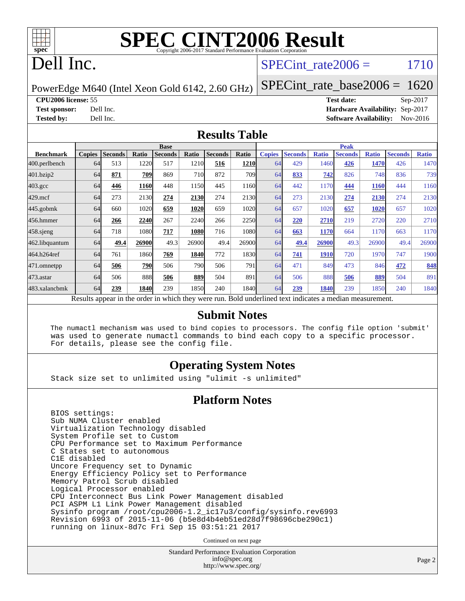

# Dell Inc.

### SPECint rate $2006 = 1710$

PowerEdge M640 (Intel Xeon Gold 6142, 2.60 GHz)

[SPECint\\_rate\\_base2006 =](http://www.spec.org/auto/cpu2006/Docs/result-fields.html#SPECintratebase2006) 1620

**[CPU2006 license:](http://www.spec.org/auto/cpu2006/Docs/result-fields.html#CPU2006license)** 55 **[Test date:](http://www.spec.org/auto/cpu2006/Docs/result-fields.html#Testdate)** Sep-2017

**[Test sponsor:](http://www.spec.org/auto/cpu2006/Docs/result-fields.html#Testsponsor)** Dell Inc. **[Hardware Availability:](http://www.spec.org/auto/cpu2006/Docs/result-fields.html#HardwareAvailability)** Sep-2017 **[Tested by:](http://www.spec.org/auto/cpu2006/Docs/result-fields.html#Testedby)** Dell Inc. **[Software Availability:](http://www.spec.org/auto/cpu2006/Docs/result-fields.html#SoftwareAvailability)** Nov-2016

#### **[Results Table](http://www.spec.org/auto/cpu2006/Docs/result-fields.html#ResultsTable)**

|                                                                                                          | <b>Base</b>   |                |       |                |       |                |             | <b>Peak</b>   |                |              |                |              |                |              |
|----------------------------------------------------------------------------------------------------------|---------------|----------------|-------|----------------|-------|----------------|-------------|---------------|----------------|--------------|----------------|--------------|----------------|--------------|
| <b>Benchmark</b>                                                                                         | <b>Copies</b> | <b>Seconds</b> | Ratio | <b>Seconds</b> | Ratio | <b>Seconds</b> | Ratio       | <b>Copies</b> | <b>Seconds</b> | <b>Ratio</b> | <b>Seconds</b> | <b>Ratio</b> | <b>Seconds</b> | <b>Ratio</b> |
| $ 400.\text{perlbench}$                                                                                  | 64            | 513            | 1220  | 517            | 1210  | 516            | <b>1210</b> | 64            | 429            | 1460         | 426            | 1470         | 426            | 1470         |
| 401.bzip2                                                                                                | 64            | 871            | 709   | 869            | 710   | 872            | 709I        | 64            | 833            | 742          | 826            | 748          | 836            | 739          |
| $403.\mathrm{gcc}$                                                                                       | 64            | 446            | 1160  | 448            | 1150  | 445            | 1160        | 64            | 442            | 1170         | 444            | <b>1160</b>  | 444            | 1160         |
| $429$ .mcf                                                                                               | 64            | 273            | 2130  | 274            | 2130  | 274            | 2130        | 64            | 273            | 2130         | 274            | 2130         | 274            | 2130         |
| $445$ .gobm $k$                                                                                          | 64            | 660            | 1020  | 659            | 1020  | 659            | 1020l       | 64            | 657            | 1020         | 657            | 1020         | 657            | 1020         |
| 456.hmmer                                                                                                | 64            | 266            | 2240  | 267            | 2240  | 266            | 2250        | 64            | 220            | 2710         | 219            | 2720         | 220            | 2710         |
| $458$ .sjeng                                                                                             | 64            | 718            | 1080  | 717            | 1080  | 716            | 1080l       | 64            | 663            | 1170         | 664            | 1170         | 663            | 1170         |
| 462.libquantum                                                                                           | 64            | 49.4           | 26900 | 49.3           | 26900 | 49.4           | 26900       | 64            | 49.4           | 26900        | 49.3           | 26900        | 49.4           | 26900        |
| 464.h264ref                                                                                              | 64            | 761            | 1860  | 769            | 1840  | 772            | 1830        | 64            | 741            | <b>1910</b>  | 720            | 1970         | 747            | 1900         |
| 471.omnetpp                                                                                              | 64            | 506            | 790   | 506            | 790   | 506            | 791         | 64            | 471            | 849          | 473            | 846          | 472            | 848          |
| $473$ . astar                                                                                            | 64            | 506            | 888   | 506            | 889   | 504            | 891         | 64            | 506            | 888          | 506            | 889          | 504            | 891          |
| 483.xalancbmk                                                                                            | 64            | 239            | 1840  | 239            | 1850  | 240            | 1840        | 64            | 239            | 1840         | 239            | 1850         | 240            | 1840         |
| Results appear in the order in which they were run. Bold underlined text indicates a median measurement. |               |                |       |                |       |                |             |               |                |              |                |              |                |              |

### **[Submit Notes](http://www.spec.org/auto/cpu2006/Docs/result-fields.html#SubmitNotes)**

 The numactl mechanism was used to bind copies to processors. The config file option 'submit' was used to generate numactl commands to bind each copy to a specific processor. For details, please see the config file.

### **[Operating System Notes](http://www.spec.org/auto/cpu2006/Docs/result-fields.html#OperatingSystemNotes)**

Stack size set to unlimited using "ulimit -s unlimited"

### **[Platform Notes](http://www.spec.org/auto/cpu2006/Docs/result-fields.html#PlatformNotes)**

 BIOS settings: Sub NUMA Cluster enabled Virtualization Technology disabled System Profile set to Custom CPU Performance set to Maximum Performance C States set to autonomous C1E disabled Uncore Frequency set to Dynamic Energy Efficiency Policy set to Performance Memory Patrol Scrub disabled Logical Processor enabled CPU Interconnect Bus Link Power Management disabled PCI ASPM L1 Link Power Management disabled Sysinfo program /root/cpu2006-1.2\_ic17u3/config/sysinfo.rev6993 Revision 6993 of 2015-11-06 (b5e8d4b4eb51ed28d7f98696cbe290c1) running on linux-8d7c Fri Sep 15 03:51:21 2017

Continued on next page

Standard Performance Evaluation Corporation [info@spec.org](mailto:info@spec.org) <http://www.spec.org/>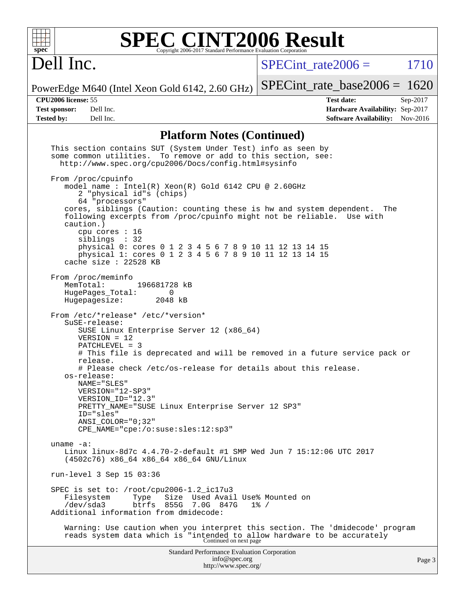

# Dell Inc.

 $SPECTnt_rate2006 = 1710$ 

PowerEdge M640 (Intel Xeon Gold 6142, 2.60 GHz) [SPECint\\_rate\\_base2006 =](http://www.spec.org/auto/cpu2006/Docs/result-fields.html#SPECintratebase2006) 1620

**[CPU2006 license:](http://www.spec.org/auto/cpu2006/Docs/result-fields.html#CPU2006license)** 55 **[Test date:](http://www.spec.org/auto/cpu2006/Docs/result-fields.html#Testdate)** Sep-2017 **[Test sponsor:](http://www.spec.org/auto/cpu2006/Docs/result-fields.html#Testsponsor)** Dell Inc. **[Hardware Availability:](http://www.spec.org/auto/cpu2006/Docs/result-fields.html#HardwareAvailability)** Sep-2017 **[Tested by:](http://www.spec.org/auto/cpu2006/Docs/result-fields.html#Testedby)** Dell Inc. **[Software Availability:](http://www.spec.org/auto/cpu2006/Docs/result-fields.html#SoftwareAvailability)** Nov-2016

### **[Platform Notes \(Continued\)](http://www.spec.org/auto/cpu2006/Docs/result-fields.html#PlatformNotes)**

| This section contains SUT (System Under Test) info as seen by<br>some common utilities. To remove or add to this section, see:<br>http://www.spec.org/cpu2006/Docs/config.html#sysinfo                                                                                                                                                                                                                                                                                                             |        |
|----------------------------------------------------------------------------------------------------------------------------------------------------------------------------------------------------------------------------------------------------------------------------------------------------------------------------------------------------------------------------------------------------------------------------------------------------------------------------------------------------|--------|
| From /proc/cpuinfo<br>model name : Intel(R) Xeon(R) Gold 6142 CPU @ 2.60GHz<br>2 "physical id"s (chips)<br>64 "processors"<br>cores, siblings (Caution: counting these is hw and system dependent. The<br>following excerpts from /proc/cpuinfo might not be reliable. Use with<br>caution.)<br>cpu cores $: 16$<br>siblings : 32<br>physical 0: cores 0 1 2 3 4 5 6 7 8 9 10 11 12 13 14 15<br>physical 1: cores 0 1 2 3 4 5 6 7 8 9 10 11 12 13 14 15<br>cache size $: 22528$ KB                 |        |
| From /proc/meminfo<br>MemTotal:<br>196681728 kB<br>HugePages_Total:<br>0<br>Hugepagesize: 2048 kB                                                                                                                                                                                                                                                                                                                                                                                                  |        |
| From /etc/*release* /etc/*version*<br>SuSE-release:<br>SUSE Linux Enterprise Server 12 (x86_64)<br>$VERSION = 12$<br>PATCHLEVEL = 3<br># This file is deprecated and will be removed in a future service pack or<br>release.<br># Please check /etc/os-release for details about this release.<br>os-release:<br>NAME="SLES"<br>VERSION="12-SP3"<br>VERSION_ID="12.3"<br>PRETTY_NAME="SUSE Linux Enterprise Server 12 SP3"<br>ID="sles"<br>ANSI COLOR="0;32"<br>CPE_NAME="cpe:/o:suse:sles:12:sp3" |        |
| uname $-a$ :<br>Linux linux-8d7c 4.4.70-2-default #1 SMP Wed Jun 7 15:12:06 UTC 2017<br>(4502c76) x86_64 x86_64 x86_64 GNU/Linux                                                                                                                                                                                                                                                                                                                                                                   |        |
| run-level 3 Sep 15 03:36                                                                                                                                                                                                                                                                                                                                                                                                                                                                           |        |
| SPEC is set to: /root/cpu2006-1.2_ic17u3<br>Size Used Avail Use% Mounted on<br>Filesystem<br>Type<br>/dev/sda3<br>btrfs<br>855G 7.0G 847G<br>$1\%$ /<br>Additional information from dmidecode:                                                                                                                                                                                                                                                                                                     |        |
| Warning: Use caution when you interpret this section. The 'dmidecode' program<br>reads system data which is "intended to allow hardware to be accurately<br>Continued on next page                                                                                                                                                                                                                                                                                                                 |        |
| <b>Standard Performance Evaluation Corporation</b><br>info@spec.org<br>http://www.spec.org/                                                                                                                                                                                                                                                                                                                                                                                                        | Page 3 |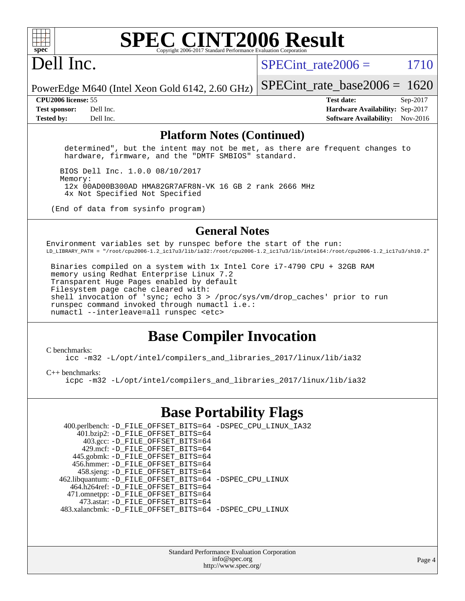

### **[SPEC CINT2006 Result](http://www.spec.org/auto/cpu2006/Docs/result-fields.html#SPECCINT2006Result)** Copyright 2006-2017 Standard Performance Evaluation

# Dell Inc.

SPECint rate $2006 = 1710$ 

PowerEdge M640 (Intel Xeon Gold 6142, 2.60 GHz) [SPECint\\_rate\\_base2006 =](http://www.spec.org/auto/cpu2006/Docs/result-fields.html#SPECintratebase2006) 1620

**[CPU2006 license:](http://www.spec.org/auto/cpu2006/Docs/result-fields.html#CPU2006license)** 55 **[Test date:](http://www.spec.org/auto/cpu2006/Docs/result-fields.html#Testdate)** Sep-2017 **[Test sponsor:](http://www.spec.org/auto/cpu2006/Docs/result-fields.html#Testsponsor)** Dell Inc. **[Hardware Availability:](http://www.spec.org/auto/cpu2006/Docs/result-fields.html#HardwareAvailability)** Sep-2017 **[Tested by:](http://www.spec.org/auto/cpu2006/Docs/result-fields.html#Testedby)** Dell Inc. **[Software Availability:](http://www.spec.org/auto/cpu2006/Docs/result-fields.html#SoftwareAvailability)** Nov-2016

### **[Platform Notes \(Continued\)](http://www.spec.org/auto/cpu2006/Docs/result-fields.html#PlatformNotes)**

 determined", but the intent may not be met, as there are frequent changes to hardware, firmware, and the "DMTF SMBIOS" standard.

 BIOS Dell Inc. 1.0.0 08/10/2017 Memory: 12x 00AD00B300AD HMA82GR7AFR8N-VK 16 GB 2 rank 2666 MHz 4x Not Specified Not Specified

(End of data from sysinfo program)

### **[General Notes](http://www.spec.org/auto/cpu2006/Docs/result-fields.html#GeneralNotes)**

Environment variables set by runspec before the start of the run: LD\_LIBRARY\_PATH = "/root/cpu2006-1.2\_ic17u3/lib/ia32:/root/cpu2006-1.2\_ic17u3/lib/intel64:/root/cpu2006-1.2\_ic17u3/sh10.2"

 Binaries compiled on a system with 1x Intel Core i7-4790 CPU + 32GB RAM memory using Redhat Enterprise Linux 7.2 Transparent Huge Pages enabled by default Filesystem page cache cleared with: shell invocation of 'sync; echo 3 > /proc/sys/vm/drop\_caches' prior to run runspec command invoked through numactl i.e.: numactl --interleave=all runspec <etc>

### **[Base Compiler Invocation](http://www.spec.org/auto/cpu2006/Docs/result-fields.html#BaseCompilerInvocation)**

#### [C benchmarks](http://www.spec.org/auto/cpu2006/Docs/result-fields.html#Cbenchmarks):

[icc -m32 -L/opt/intel/compilers\\_and\\_libraries\\_2017/linux/lib/ia32](http://www.spec.org/cpu2006/results/res2017q4/cpu2006-20170918-49892.flags.html#user_CCbase_intel_icc_c29f3ff5a7ed067b11e4ec10a03f03ae)

[C++ benchmarks:](http://www.spec.org/auto/cpu2006/Docs/result-fields.html#CXXbenchmarks)

[icpc -m32 -L/opt/intel/compilers\\_and\\_libraries\\_2017/linux/lib/ia32](http://www.spec.org/cpu2006/results/res2017q4/cpu2006-20170918-49892.flags.html#user_CXXbase_intel_icpc_8c35c7808b62dab9ae41a1aa06361b6b)

### **[Base Portability Flags](http://www.spec.org/auto/cpu2006/Docs/result-fields.html#BasePortabilityFlags)**

 400.perlbench: [-D\\_FILE\\_OFFSET\\_BITS=64](http://www.spec.org/cpu2006/results/res2017q4/cpu2006-20170918-49892.flags.html#user_basePORTABILITY400_perlbench_file_offset_bits_64_438cf9856305ebd76870a2c6dc2689ab) [-DSPEC\\_CPU\\_LINUX\\_IA32](http://www.spec.org/cpu2006/results/res2017q4/cpu2006-20170918-49892.flags.html#b400.perlbench_baseCPORTABILITY_DSPEC_CPU_LINUX_IA32) 401.bzip2: [-D\\_FILE\\_OFFSET\\_BITS=64](http://www.spec.org/cpu2006/results/res2017q4/cpu2006-20170918-49892.flags.html#user_basePORTABILITY401_bzip2_file_offset_bits_64_438cf9856305ebd76870a2c6dc2689ab) 403.gcc: [-D\\_FILE\\_OFFSET\\_BITS=64](http://www.spec.org/cpu2006/results/res2017q4/cpu2006-20170918-49892.flags.html#user_basePORTABILITY403_gcc_file_offset_bits_64_438cf9856305ebd76870a2c6dc2689ab) 429.mcf: [-D\\_FILE\\_OFFSET\\_BITS=64](http://www.spec.org/cpu2006/results/res2017q4/cpu2006-20170918-49892.flags.html#user_basePORTABILITY429_mcf_file_offset_bits_64_438cf9856305ebd76870a2c6dc2689ab) 445.gobmk: [-D\\_FILE\\_OFFSET\\_BITS=64](http://www.spec.org/cpu2006/results/res2017q4/cpu2006-20170918-49892.flags.html#user_basePORTABILITY445_gobmk_file_offset_bits_64_438cf9856305ebd76870a2c6dc2689ab) 456.hmmer: [-D\\_FILE\\_OFFSET\\_BITS=64](http://www.spec.org/cpu2006/results/res2017q4/cpu2006-20170918-49892.flags.html#user_basePORTABILITY456_hmmer_file_offset_bits_64_438cf9856305ebd76870a2c6dc2689ab) 458.sjeng: [-D\\_FILE\\_OFFSET\\_BITS=64](http://www.spec.org/cpu2006/results/res2017q4/cpu2006-20170918-49892.flags.html#user_basePORTABILITY458_sjeng_file_offset_bits_64_438cf9856305ebd76870a2c6dc2689ab) 462.libquantum: [-D\\_FILE\\_OFFSET\\_BITS=64](http://www.spec.org/cpu2006/results/res2017q4/cpu2006-20170918-49892.flags.html#user_basePORTABILITY462_libquantum_file_offset_bits_64_438cf9856305ebd76870a2c6dc2689ab) [-DSPEC\\_CPU\\_LINUX](http://www.spec.org/cpu2006/results/res2017q4/cpu2006-20170918-49892.flags.html#b462.libquantum_baseCPORTABILITY_DSPEC_CPU_LINUX) 464.h264ref: [-D\\_FILE\\_OFFSET\\_BITS=64](http://www.spec.org/cpu2006/results/res2017q4/cpu2006-20170918-49892.flags.html#user_basePORTABILITY464_h264ref_file_offset_bits_64_438cf9856305ebd76870a2c6dc2689ab) 471.omnetpp: [-D\\_FILE\\_OFFSET\\_BITS=64](http://www.spec.org/cpu2006/results/res2017q4/cpu2006-20170918-49892.flags.html#user_basePORTABILITY471_omnetpp_file_offset_bits_64_438cf9856305ebd76870a2c6dc2689ab) 473.astar: [-D\\_FILE\\_OFFSET\\_BITS=64](http://www.spec.org/cpu2006/results/res2017q4/cpu2006-20170918-49892.flags.html#user_basePORTABILITY473_astar_file_offset_bits_64_438cf9856305ebd76870a2c6dc2689ab) 483.xalancbmk: [-D\\_FILE\\_OFFSET\\_BITS=64](http://www.spec.org/cpu2006/results/res2017q4/cpu2006-20170918-49892.flags.html#user_basePORTABILITY483_xalancbmk_file_offset_bits_64_438cf9856305ebd76870a2c6dc2689ab) [-DSPEC\\_CPU\\_LINUX](http://www.spec.org/cpu2006/results/res2017q4/cpu2006-20170918-49892.flags.html#b483.xalancbmk_baseCXXPORTABILITY_DSPEC_CPU_LINUX)

> Standard Performance Evaluation Corporation [info@spec.org](mailto:info@spec.org) <http://www.spec.org/>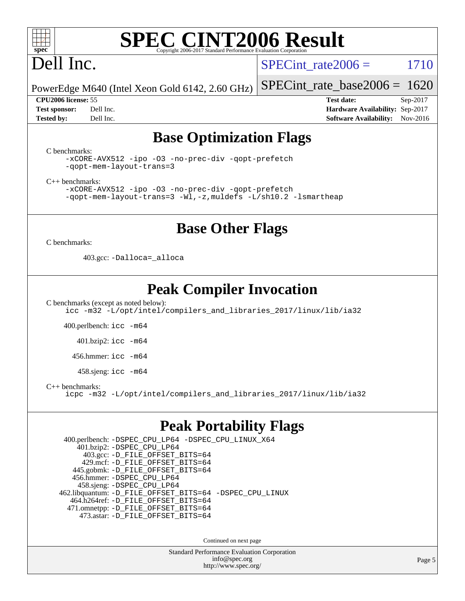

# Dell Inc.

SPECint rate $2006 = 1710$ 

PowerEdge M640 (Intel Xeon Gold 6142, 2.60 GHz)

**[Tested by:](http://www.spec.org/auto/cpu2006/Docs/result-fields.html#Testedby)** Dell Inc. **[Software Availability:](http://www.spec.org/auto/cpu2006/Docs/result-fields.html#SoftwareAvailability)** Nov-2016

[SPECint\\_rate\\_base2006 =](http://www.spec.org/auto/cpu2006/Docs/result-fields.html#SPECintratebase2006) 1620 **[CPU2006 license:](http://www.spec.org/auto/cpu2006/Docs/result-fields.html#CPU2006license)** 55 **[Test date:](http://www.spec.org/auto/cpu2006/Docs/result-fields.html#Testdate)** Sep-2017 **[Test sponsor:](http://www.spec.org/auto/cpu2006/Docs/result-fields.html#Testsponsor)** Dell Inc. **[Hardware Availability:](http://www.spec.org/auto/cpu2006/Docs/result-fields.html#HardwareAvailability)** Sep-2017

## **[Base Optimization Flags](http://www.spec.org/auto/cpu2006/Docs/result-fields.html#BaseOptimizationFlags)**

[C benchmarks](http://www.spec.org/auto/cpu2006/Docs/result-fields.html#Cbenchmarks):

[-xCORE-AVX512](http://www.spec.org/cpu2006/results/res2017q4/cpu2006-20170918-49892.flags.html#user_CCbase_f-xCORE-AVX512) [-ipo](http://www.spec.org/cpu2006/results/res2017q4/cpu2006-20170918-49892.flags.html#user_CCbase_f-ipo) [-O3](http://www.spec.org/cpu2006/results/res2017q4/cpu2006-20170918-49892.flags.html#user_CCbase_f-O3) [-no-prec-div](http://www.spec.org/cpu2006/results/res2017q4/cpu2006-20170918-49892.flags.html#user_CCbase_f-no-prec-div) [-qopt-prefetch](http://www.spec.org/cpu2006/results/res2017q4/cpu2006-20170918-49892.flags.html#user_CCbase_f-qopt-prefetch) [-qopt-mem-layout-trans=3](http://www.spec.org/cpu2006/results/res2017q4/cpu2006-20170918-49892.flags.html#user_CCbase_f-qopt-mem-layout-trans_170f5be61cd2cedc9b54468c59262d5d)

[C++ benchmarks:](http://www.spec.org/auto/cpu2006/Docs/result-fields.html#CXXbenchmarks)

[-xCORE-AVX512](http://www.spec.org/cpu2006/results/res2017q4/cpu2006-20170918-49892.flags.html#user_CXXbase_f-xCORE-AVX512) [-ipo](http://www.spec.org/cpu2006/results/res2017q4/cpu2006-20170918-49892.flags.html#user_CXXbase_f-ipo) [-O3](http://www.spec.org/cpu2006/results/res2017q4/cpu2006-20170918-49892.flags.html#user_CXXbase_f-O3) [-no-prec-div](http://www.spec.org/cpu2006/results/res2017q4/cpu2006-20170918-49892.flags.html#user_CXXbase_f-no-prec-div) [-qopt-prefetch](http://www.spec.org/cpu2006/results/res2017q4/cpu2006-20170918-49892.flags.html#user_CXXbase_f-qopt-prefetch) [-qopt-mem-layout-trans=3](http://www.spec.org/cpu2006/results/res2017q4/cpu2006-20170918-49892.flags.html#user_CXXbase_f-qopt-mem-layout-trans_170f5be61cd2cedc9b54468c59262d5d) [-Wl,-z,muldefs](http://www.spec.org/cpu2006/results/res2017q4/cpu2006-20170918-49892.flags.html#user_CXXbase_link_force_multiple1_74079c344b956b9658436fd1b6dd3a8a) [-L/sh10.2 -lsmartheap](http://www.spec.org/cpu2006/results/res2017q4/cpu2006-20170918-49892.flags.html#user_CXXbase_SmartHeap_b831f2d313e2fffa6dfe3f00ffc1f1c0)

### **[Base Other Flags](http://www.spec.org/auto/cpu2006/Docs/result-fields.html#BaseOtherFlags)**

[C benchmarks](http://www.spec.org/auto/cpu2006/Docs/result-fields.html#Cbenchmarks):

403.gcc: [-Dalloca=\\_alloca](http://www.spec.org/cpu2006/results/res2017q4/cpu2006-20170918-49892.flags.html#b403.gcc_baseEXTRA_CFLAGS_Dalloca_be3056838c12de2578596ca5467af7f3)

### **[Peak Compiler Invocation](http://www.spec.org/auto/cpu2006/Docs/result-fields.html#PeakCompilerInvocation)**

[C benchmarks \(except as noted below\)](http://www.spec.org/auto/cpu2006/Docs/result-fields.html#Cbenchmarksexceptasnotedbelow): [icc -m32 -L/opt/intel/compilers\\_and\\_libraries\\_2017/linux/lib/ia32](http://www.spec.org/cpu2006/results/res2017q4/cpu2006-20170918-49892.flags.html#user_CCpeak_intel_icc_c29f3ff5a7ed067b11e4ec10a03f03ae)

400.perlbench: [icc -m64](http://www.spec.org/cpu2006/results/res2017q4/cpu2006-20170918-49892.flags.html#user_peakCCLD400_perlbench_intel_icc_64bit_bda6cc9af1fdbb0edc3795bac97ada53)

401.bzip2: [icc -m64](http://www.spec.org/cpu2006/results/res2017q4/cpu2006-20170918-49892.flags.html#user_peakCCLD401_bzip2_intel_icc_64bit_bda6cc9af1fdbb0edc3795bac97ada53)

456.hmmer: [icc -m64](http://www.spec.org/cpu2006/results/res2017q4/cpu2006-20170918-49892.flags.html#user_peakCCLD456_hmmer_intel_icc_64bit_bda6cc9af1fdbb0edc3795bac97ada53)

458.sjeng: [icc -m64](http://www.spec.org/cpu2006/results/res2017q4/cpu2006-20170918-49892.flags.html#user_peakCCLD458_sjeng_intel_icc_64bit_bda6cc9af1fdbb0edc3795bac97ada53)

[C++ benchmarks:](http://www.spec.org/auto/cpu2006/Docs/result-fields.html#CXXbenchmarks)

[icpc -m32 -L/opt/intel/compilers\\_and\\_libraries\\_2017/linux/lib/ia32](http://www.spec.org/cpu2006/results/res2017q4/cpu2006-20170918-49892.flags.html#user_CXXpeak_intel_icpc_8c35c7808b62dab9ae41a1aa06361b6b)

### **[Peak Portability Flags](http://www.spec.org/auto/cpu2006/Docs/result-fields.html#PeakPortabilityFlags)**

 400.perlbench: [-DSPEC\\_CPU\\_LP64](http://www.spec.org/cpu2006/results/res2017q4/cpu2006-20170918-49892.flags.html#b400.perlbench_peakCPORTABILITY_DSPEC_CPU_LP64) [-DSPEC\\_CPU\\_LINUX\\_X64](http://www.spec.org/cpu2006/results/res2017q4/cpu2006-20170918-49892.flags.html#b400.perlbench_peakCPORTABILITY_DSPEC_CPU_LINUX_X64) 401.bzip2: [-DSPEC\\_CPU\\_LP64](http://www.spec.org/cpu2006/results/res2017q4/cpu2006-20170918-49892.flags.html#suite_peakCPORTABILITY401_bzip2_DSPEC_CPU_LP64) 403.gcc: [-D\\_FILE\\_OFFSET\\_BITS=64](http://www.spec.org/cpu2006/results/res2017q4/cpu2006-20170918-49892.flags.html#user_peakPORTABILITY403_gcc_file_offset_bits_64_438cf9856305ebd76870a2c6dc2689ab) 429.mcf: [-D\\_FILE\\_OFFSET\\_BITS=64](http://www.spec.org/cpu2006/results/res2017q4/cpu2006-20170918-49892.flags.html#user_peakPORTABILITY429_mcf_file_offset_bits_64_438cf9856305ebd76870a2c6dc2689ab) 445.gobmk: [-D\\_FILE\\_OFFSET\\_BITS=64](http://www.spec.org/cpu2006/results/res2017q4/cpu2006-20170918-49892.flags.html#user_peakPORTABILITY445_gobmk_file_offset_bits_64_438cf9856305ebd76870a2c6dc2689ab) 456.hmmer: [-DSPEC\\_CPU\\_LP64](http://www.spec.org/cpu2006/results/res2017q4/cpu2006-20170918-49892.flags.html#suite_peakCPORTABILITY456_hmmer_DSPEC_CPU_LP64) 458.sjeng: [-DSPEC\\_CPU\\_LP64](http://www.spec.org/cpu2006/results/res2017q4/cpu2006-20170918-49892.flags.html#suite_peakCPORTABILITY458_sjeng_DSPEC_CPU_LP64) 462.libquantum: [-D\\_FILE\\_OFFSET\\_BITS=64](http://www.spec.org/cpu2006/results/res2017q4/cpu2006-20170918-49892.flags.html#user_peakPORTABILITY462_libquantum_file_offset_bits_64_438cf9856305ebd76870a2c6dc2689ab) [-DSPEC\\_CPU\\_LINUX](http://www.spec.org/cpu2006/results/res2017q4/cpu2006-20170918-49892.flags.html#b462.libquantum_peakCPORTABILITY_DSPEC_CPU_LINUX) 464.h264ref: [-D\\_FILE\\_OFFSET\\_BITS=64](http://www.spec.org/cpu2006/results/res2017q4/cpu2006-20170918-49892.flags.html#user_peakPORTABILITY464_h264ref_file_offset_bits_64_438cf9856305ebd76870a2c6dc2689ab) 471.omnetpp: [-D\\_FILE\\_OFFSET\\_BITS=64](http://www.spec.org/cpu2006/results/res2017q4/cpu2006-20170918-49892.flags.html#user_peakPORTABILITY471_omnetpp_file_offset_bits_64_438cf9856305ebd76870a2c6dc2689ab) 473.astar: [-D\\_FILE\\_OFFSET\\_BITS=64](http://www.spec.org/cpu2006/results/res2017q4/cpu2006-20170918-49892.flags.html#user_peakPORTABILITY473_astar_file_offset_bits_64_438cf9856305ebd76870a2c6dc2689ab)

Continued on next page

Standard Performance Evaluation Corporation [info@spec.org](mailto:info@spec.org) <http://www.spec.org/>

Page 5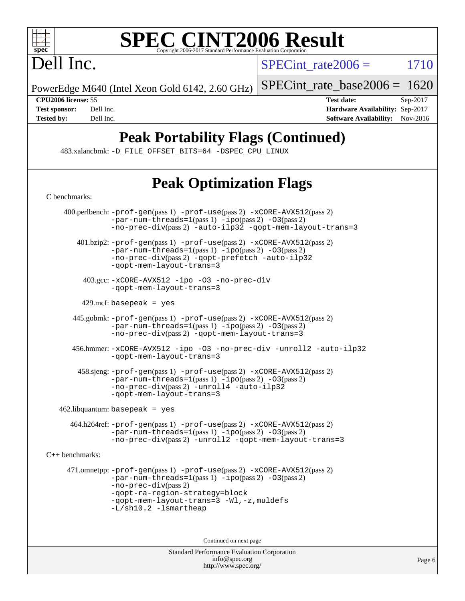

# Dell Inc.

 $SPECTnt_rate2006 = 1710$ 

PowerEdge M640 (Intel Xeon Gold 6142, 2.60 GHz)

[SPECint\\_rate\\_base2006 =](http://www.spec.org/auto/cpu2006/Docs/result-fields.html#SPECintratebase2006) 1620

**[CPU2006 license:](http://www.spec.org/auto/cpu2006/Docs/result-fields.html#CPU2006license)** 55 **[Test date:](http://www.spec.org/auto/cpu2006/Docs/result-fields.html#Testdate)** Sep-2017 **[Test sponsor:](http://www.spec.org/auto/cpu2006/Docs/result-fields.html#Testsponsor)** Dell Inc. **[Hardware Availability:](http://www.spec.org/auto/cpu2006/Docs/result-fields.html#HardwareAvailability)** Sep-2017 **[Tested by:](http://www.spec.org/auto/cpu2006/Docs/result-fields.html#Testedby)** Dell Inc. **[Software Availability:](http://www.spec.org/auto/cpu2006/Docs/result-fields.html#SoftwareAvailability)** Nov-2016

# **[Peak Portability Flags \(Continued\)](http://www.spec.org/auto/cpu2006/Docs/result-fields.html#PeakPortabilityFlags)**

483.xalancbmk: [-D\\_FILE\\_OFFSET\\_BITS=64](http://www.spec.org/cpu2006/results/res2017q4/cpu2006-20170918-49892.flags.html#user_peakPORTABILITY483_xalancbmk_file_offset_bits_64_438cf9856305ebd76870a2c6dc2689ab) [-DSPEC\\_CPU\\_LINUX](http://www.spec.org/cpu2006/results/res2017q4/cpu2006-20170918-49892.flags.html#b483.xalancbmk_peakCXXPORTABILITY_DSPEC_CPU_LINUX)

# **[Peak Optimization Flags](http://www.spec.org/auto/cpu2006/Docs/result-fields.html#PeakOptimizationFlags)**

| C benchmarks:                                                                                                                                                                                                                                                       |  |
|---------------------------------------------------------------------------------------------------------------------------------------------------------------------------------------------------------------------------------------------------------------------|--|
| 400.perlbench: -prof-gen(pass 1) -prof-use(pass 2) -xCORE-AVX512(pass 2)<br>$-par-num-threads=1(pass 1) -ipo(pass 2) -03(pass 2)$<br>-no-prec-div(pass 2) -auto-ilp32 -qopt-mem-layout-trans=3                                                                      |  |
| $401 \text{.}$ bzip2: -prof-gen(pass 1) -prof-use(pass 2) -xCORE-AVX512(pass 2)<br>$-par-num-threads=1(pass 1) -ipo(pass 2) -03(pass 2)$<br>-no-prec-div(pass 2) -qopt-prefetch -auto-ilp32<br>-gopt-mem-layout-trans=3                                             |  |
| 403.gcc: -xCORE-AVX512 -ipo -03 -no-prec-div<br>-qopt-mem-layout-trans=3                                                                                                                                                                                            |  |
| 429.mcf:basepeak = yes                                                                                                                                                                                                                                              |  |
| $445$ .gobmk: $-prof-gen(pass 1)$ $-prof-use(pass 2)$ $-xCORE-AVX512(pass 2)$<br>$-par-num-threads=1(pass 1) -ipo(pass 2) -03(pass 2)$<br>-no-prec-div(pass 2) -qopt-mem-layout-trans=3                                                                             |  |
| 456.hmmer: -xCORE-AVX512 -ipo -03 -no-prec-div -unroll2 -auto-ilp32<br>-qopt-mem-layout-trans=3                                                                                                                                                                     |  |
| $458 \text{.}$ sjeng: $-\text{prof-gen}(pass 1)$ $-\text{prof-use}(pass 2)$ $-\text{xCORE-AVX512}(pass 2)$<br>$-par-num-threads=1(pass 1) -ipo(pass 2) -03(pass 2)$<br>-no-prec-div(pass 2) -unroll4 -auto-ilp32<br>-qopt-mem-layout-trans=3                        |  |
| $462$ .libquantum: basepeak = yes                                                                                                                                                                                                                                   |  |
| 464.h264ref: -prof-gen(pass 1) -prof-use(pass 2) -xCORE-AVX512(pass 2)<br>$-par-num-threads=1(pass 1) -ipo(pass 2) -03(pass 2)$<br>-no-prec-div(pass 2) -unroll2 -qopt-mem-layout-trans=3                                                                           |  |
| $C_{++}$ benchmarks:                                                                                                                                                                                                                                                |  |
| 471.omnetpp: -prof-gen(pass 1) -prof-use(pass 2) -xCORE-AVX512(pass 2)<br>$-par-num-threads=1(pass 1) -ipo(pass 2) -03(pass 2)$<br>-no-prec-div(pass 2)<br>-qopt-ra-region-strategy=block<br>-qopt-mem-layout-trans=3 -Wl,-z, muldefs<br>$-L/\nsh10.2 - lsmartheap$ |  |
| Continued on next page                                                                                                                                                                                                                                              |  |
| Standard Performance Evaluation Corporation<br>info@spec.org<br>http://www.spec.org/                                                                                                                                                                                |  |